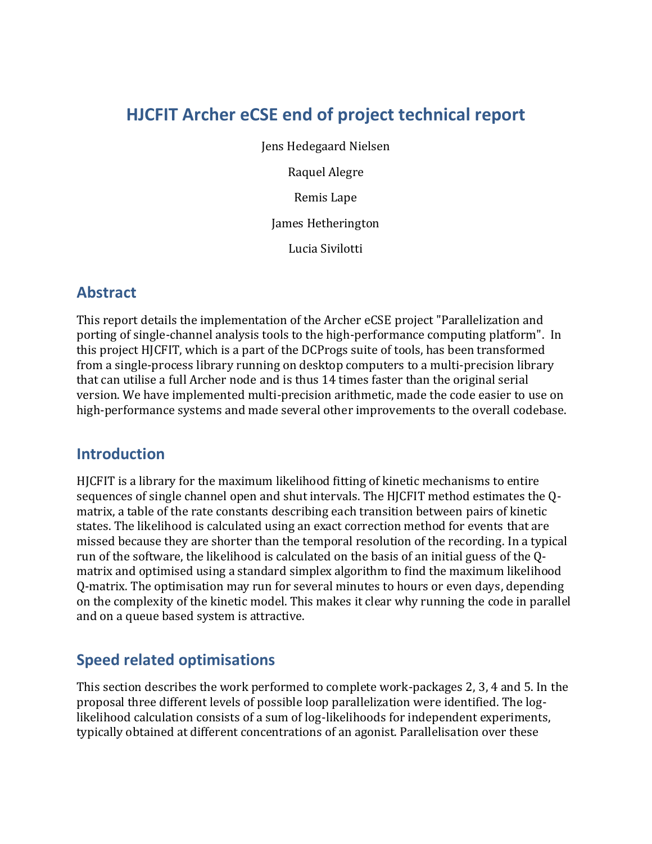# **HJCFIT Archer eCSE end of project technical report**

Jens Hedegaard Nielsen Raquel Alegre Remis Lape James Hetherington Lucia Sivilotti

#### **Abstract**

This report details the implementation of the Archer eCSE project "Parallelization and porting of single-channel analysis tools to the high-performance computing platform". In this project HJCFIT, which is a part of the DCProgs suite of tools, has been transformed from a single-process library running on desktop computers to a multi-precision library that can utilise a full Archer node and is thus 14 times faster than the original serial version. We have implemented multi-precision arithmetic, made the code easier to use on high-performance systems and made several other improvements to the overall codebase.

### **Introduction**

HJCFIT is a library for the maximum likelihood fitting of kinetic mechanisms to entire sequences of single channel open and shut intervals. The HJCFIT method estimates the Qmatrix, a table of the rate constants describing each transition between pairs of kinetic states. The likelihood is calculated using an exact correction method for events that are missed because they are shorter than the temporal resolution of the recording. In a typical run of the software, the likelihood is calculated on the basis of an initial guess of the Qmatrix and optimised using a standard simplex algorithm to find the maximum likelihood Q-matrix. The optimisation may run for several minutes to hours or even days, depending on the complexity of the kinetic model. This makes it clear why running the code in parallel and on a queue based system is attractive.

### **Speed related optimisations**

This section describes the work performed to complete work-packages 2, 3, 4 and 5. In the proposal three different levels of possible loop parallelization were identified. The loglikelihood calculation consists of a sum of log-likelihoods for independent experiments, typically obtained at different concentrations of an agonist. Parallelisation over these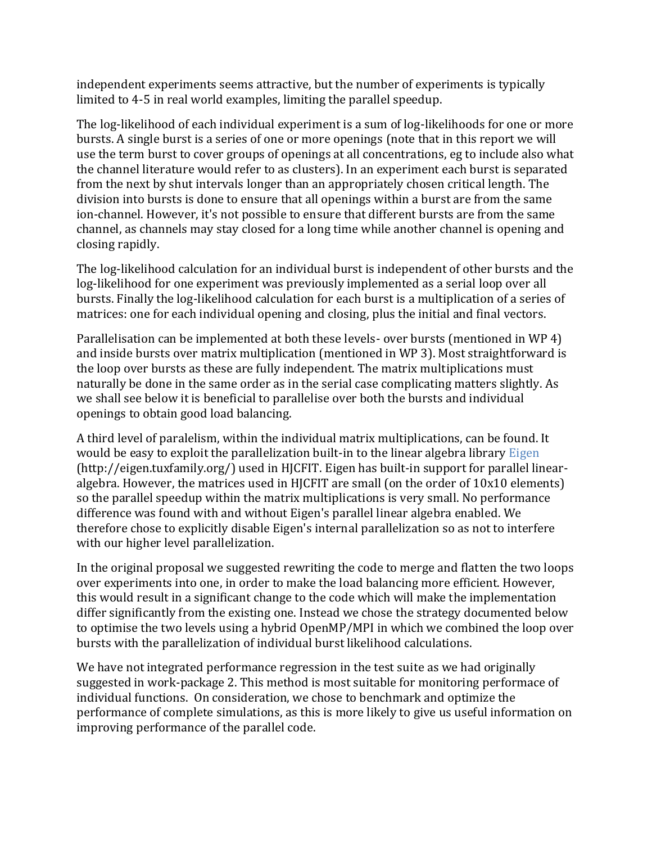independent experiments seems attractive, but the number of experiments is typically limited to 4-5 in real world examples, limiting the parallel speedup.

The log-likelihood of each individual experiment is a sum of log-likelihoods for one or more bursts. A single burst is a series of one or more openings (note that in this report we will use the term burst to cover groups of openings at all concentrations, eg to include also what the channel literature would refer to as clusters). In an experiment each burst is separated from the next by shut intervals longer than an appropriately chosen critical length. The division into bursts is done to ensure that all openings within a burst are from the same ion-channel. However, it's not possible to ensure that different bursts are from the same channel, as channels may stay closed for a long time while another channel is opening and closing rapidly.

The log-likelihood calculation for an individual burst is independent of other bursts and the log-likelihood for one experiment was previously implemented as a serial loop over all bursts. Finally the log-likelihood calculation for each burst is a multiplication of a series of matrices: one for each individual opening and closing, plus the initial and final vectors.

Parallelisation can be implemented at both these levels- over bursts (mentioned in WP 4) and inside bursts over matrix multiplication (mentioned in WP 3). Most straightforward is the loop over bursts as these are fully independent. The matrix multiplications must naturally be done in the same order as in the serial case complicating matters slightly. As we shall see below it is beneficial to parallelise over both the bursts and individual openings to obtain good load balancing.

A third level of paralelism, within the individual matrix multiplications, can be found. It would be easy to exploit the parallelization built-in to the linear algebra library [Eigen](http://eigen.tuxfamily.org/) (http://eigen.tuxfamily.org/) used in HJCFIT. Eigen has built-in support for parallel linearalgebra. However, the matrices used in HJCFIT are small (on the order of 10x10 elements) so the parallel speedup within the matrix multiplications is very small. No performance difference was found with and without Eigen's parallel linear algebra enabled. We therefore chose to explicitly disable Eigen's internal parallelization so as not to interfere with our higher level parallelization.

In the original proposal we suggested rewriting the code to merge and flatten the two loops over experiments into one, in order to make the load balancing more efficient. However, this would result in a significant change to the code which will make the implementation differ significantly from the existing one. Instead we chose the strategy documented below to optimise the two levels using a hybrid OpenMP/MPI in which we combined the loop over bursts with the parallelization of individual burst likelihood calculations.

We have not integrated performance regression in the test suite as we had originally suggested in work-package 2. This method is most suitable for monitoring performace of individual functions. On consideration, we chose to benchmark and optimize the performance of complete simulations, as this is more likely to give us useful information on improving performance of the parallel code.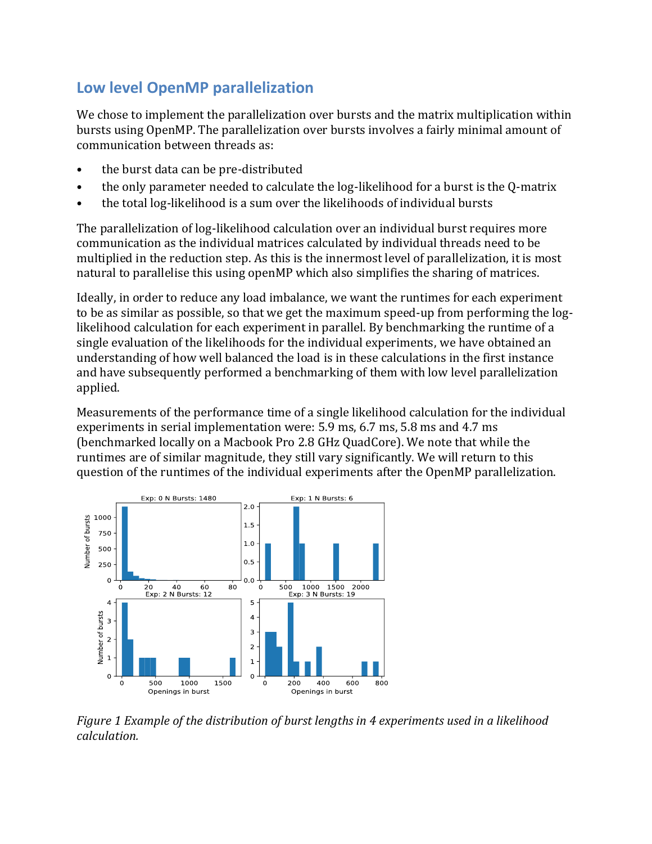## **Low level OpenMP parallelization**

We chose to implement the parallelization over bursts and the matrix multiplication within bursts using OpenMP. The parallelization over bursts involves a fairly minimal amount of communication between threads as:

- the burst data can be pre-distributed
- the only parameter needed to calculate the log-likelihood for a burst is the Q-matrix
- the total log-likelihood is a sum over the likelihoods of individual bursts

The parallelization of log-likelihood calculation over an individual burst requires more communication as the individual matrices calculated by individual threads need to be multiplied in the reduction step. As this is the innermost level of parallelization, it is most natural to parallelise this using openMP which also simplifies the sharing of matrices.

Ideally, in order to reduce any load imbalance, we want the runtimes for each experiment to be as similar as possible, so that we get the maximum speed-up from performing the loglikelihood calculation for each experiment in parallel. By benchmarking the runtime of a single evaluation of the likelihoods for the individual experiments, we have obtained an understanding of how well balanced the load is in these calculations in the first instance and have subsequently performed a benchmarking of them with low level parallelization applied.

Measurements of the performance time of a single likelihood calculation for the individual experiments in serial implementation were: 5.9 ms, 6.7 ms, 5.8 ms and 4.7 ms (benchmarked locally on a Macbook Pro 2.8 GHz QuadCore). We note that while the runtimes are of similar magnitude, they still vary significantly. We will return to this question of the runtimes of the individual experiments after the OpenMP parallelization.



*Figure 1 Example of the distribution of burst lengths in 4 experiments used in a likelihood calculation.*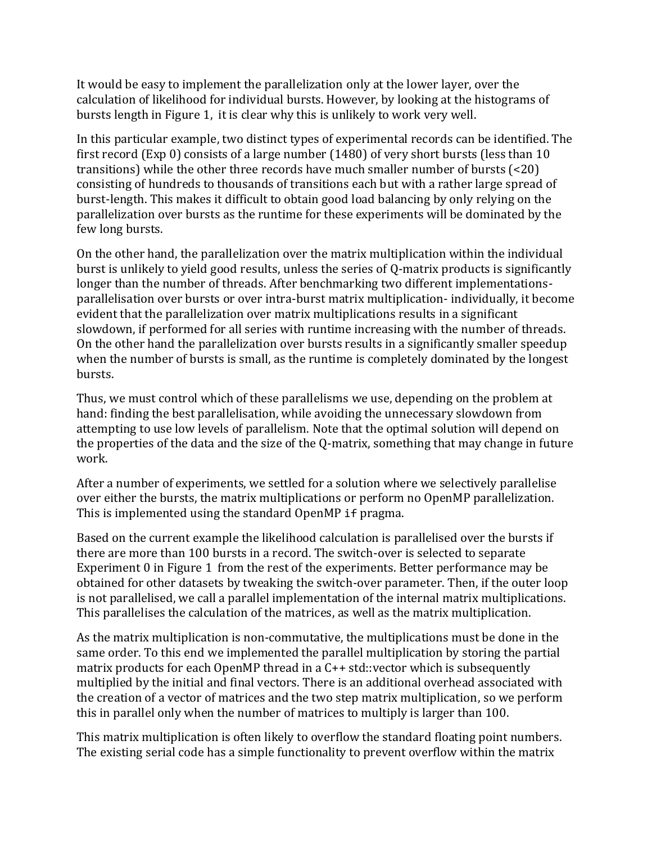It would be easy to implement the parallelization only at the lower layer, over the calculation of likelihood for individual bursts. However, by looking at the histograms of bursts length in Figure 1, it is clear why this is unlikely to work very well.

In this particular example, two distinct types of experimental records can be identified. The first record (Exp 0) consists of a large number (1480) of very short bursts (less than 10 transitions) while the other three records have much smaller number of bursts (<20) consisting of hundreds to thousands of transitions each but with a rather large spread of burst-length. This makes it difficult to obtain good load balancing by only relying on the parallelization over bursts as the runtime for these experiments will be dominated by the few long bursts.

On the other hand, the parallelization over the matrix multiplication within the individual burst is unlikely to yield good results, unless the series of Q-matrix products is significantly longer than the number of threads. After benchmarking two different implementationsparallelisation over bursts or over intra-burst matrix multiplication- individually, it become evident that the parallelization over matrix multiplications results in a significant slowdown, if performed for all series with runtime increasing with the number of threads. On the other hand the parallelization over bursts results in a significantly smaller speedup when the number of bursts is small, as the runtime is completely dominated by the longest bursts.

Thus, we must control which of these parallelisms we use, depending on the problem at hand: finding the best parallelisation, while avoiding the unnecessary slowdown from attempting to use low levels of parallelism. Note that the optimal solution will depend on the properties of the data and the size of the Q-matrix, something that may change in future work.

After a number of experiments, we settled for a solution where we selectively parallelise over either the bursts, the matrix multiplications or perform no OpenMP parallelization. This is implemented using the standard OpenMP if pragma.

Based on the current example the likelihood calculation is parallelised over the bursts if there are more than 100 bursts in a record. The switch-over is selected to separate Experiment 0 in Figure 1 from the rest of the experiments. Better performance may be obtained for other datasets by tweaking the switch-over parameter. Then, if the outer loop is not parallelised, we call a parallel implementation of the internal matrix multiplications. This parallelises the calculation of the matrices, as well as the matrix multiplication.

As the matrix multiplication is non-commutative, the multiplications must be done in the same order. To this end we implemented the parallel multiplication by storing the partial matrix products for each OpenMP thread in a C++ std::vector which is subsequently multiplied by the initial and final vectors. There is an additional overhead associated with the creation of a vector of matrices and the two step matrix multiplication, so we perform this in parallel only when the number of matrices to multiply is larger than 100.

This matrix multiplication is often likely to overflow the standard floating point numbers. The existing serial code has a simple functionality to prevent overflow within the matrix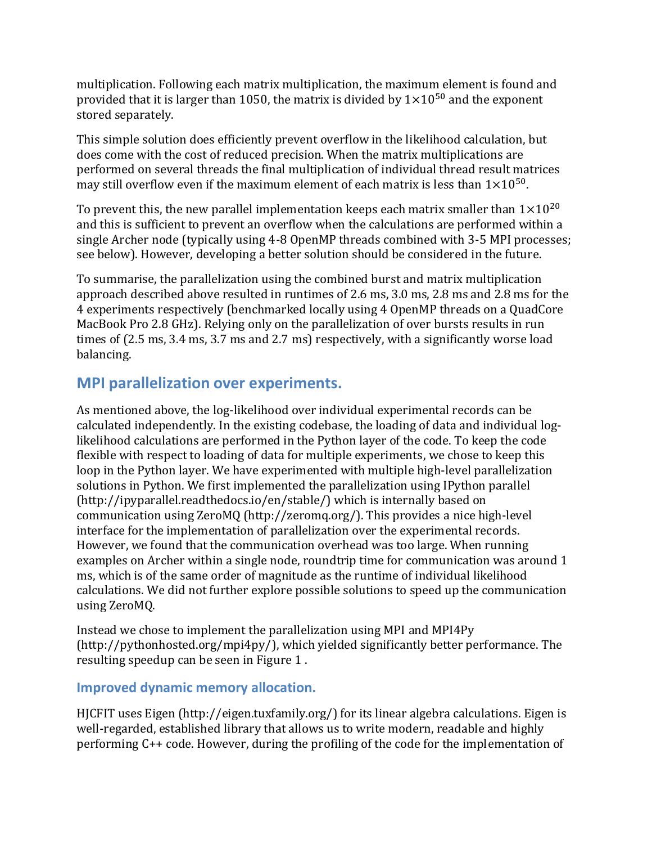multiplication. Following each matrix multiplication, the maximum element is found and provided that it is larger than 1050, the matrix is divided by  $1\times10^{50}$  and the exponent stored separately.

This simple solution does efficiently prevent overflow in the likelihood calculation, but does come with the cost of reduced precision. When the matrix multiplications are performed on several threads the final multiplication of individual thread result matrices may still overflow even if the maximum element of each matrix is less than  $1\times10^{50}$ .

To prevent this, the new parallel implementation keeps each matrix smaller than  $1\times10^{20}$ and this is sufficient to prevent an overflow when the calculations are performed within a single Archer node (typically using 4-8 OpenMP threads combined with 3-5 MPI processes; see below). However, developing a better solution should be considered in the future.

To summarise, the parallelization using the combined burst and matrix multiplication approach described above resulted in runtimes of 2.6 ms, 3.0 ms, 2.8 ms and 2.8 ms for the 4 experiments respectively (benchmarked locally using 4 OpenMP threads on a QuadCore MacBook Pro 2.8 GHz). Relying only on the parallelization of over bursts results in run times of (2.5 ms, 3.4 ms, 3.7 ms and 2.7 ms) respectively, with a significantly worse load balancing.

#### **MPI parallelization over experiments.**

As mentioned above, the log-likelihood over individual experimental records can be calculated independently. In the existing codebase, the loading of data and individual loglikelihood calculations are performed in the Python layer of the code. To keep the code flexible with respect to loading of data for multiple experiments, we chose to keep this loop in the Python layer. We have experimented with multiple high-level parallelization solutions in Python. We first implemented the parallelization using IPython parallel (http://ipyparallel.readthedocs.io/en/stable/) which is internally based on communication using ZeroMQ (http://zeromq.org/). This provides a nice high-level interface for the implementation of parallelization over the experimental records. However, we found that the communication overhead was too large. When running examples on Archer within a single node, roundtrip time for communication was around 1 ms, which is of the same order of magnitude as the runtime of individual likelihood calculations. We did not further explore possible solutions to speed up the communication using ZeroMQ.

Instead we chose to implement the parallelization using MPI and MPI4Py (http://pythonhosted.org/mpi4py/), which yielded significantly better performance. The resulting speedup can be seen in Figure 1 .

#### **Improved dynamic memory allocation.**

HJCFIT uses Eigen (http://eigen.tuxfamily.org/) for its linear algebra calculations. Eigen is well-regarded, established library that allows us to write modern, readable and highly performing C++ code. However, during the profiling of the code for the implementation of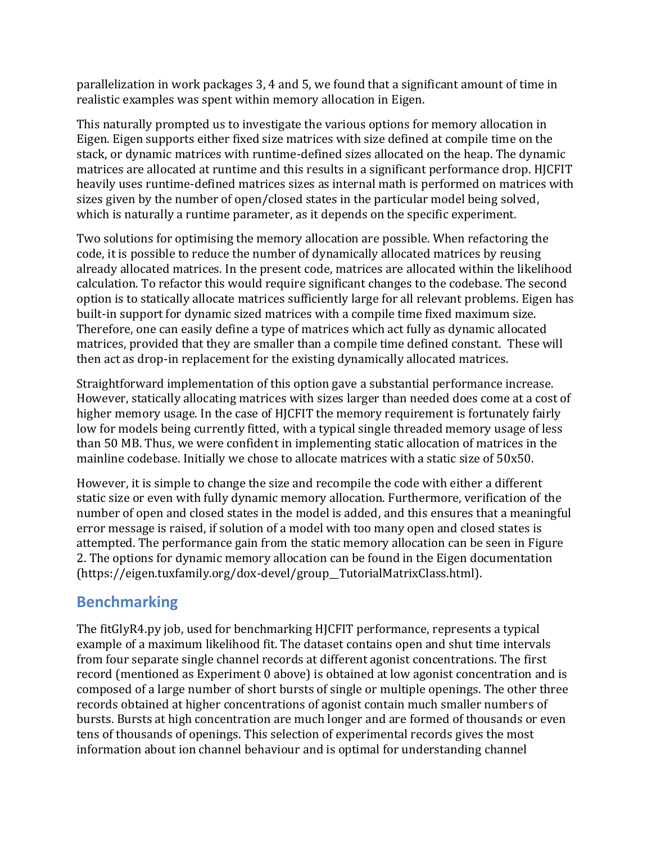parallelization in work packages 3, 4 and 5, we found that a significant amount of time in realistic examples was spent within memory allocation in Eigen.

This naturally prompted us to investigate the various options for memory allocation in Eigen. Eigen supports either fixed size matrices with size defined at compile time on the stack, or dynamic matrices with runtime-defined sizes allocated on the heap. The dynamic matrices are allocated at runtime and this results in a significant performance drop. HJCFIT heavily uses runtime-defined matrices sizes as internal math is performed on matrices with sizes given by the number of open/closed states in the particular model being solved, which is naturally a runtime parameter, as it depends on the specific experiment.

Two solutions for optimising the memory allocation are possible. When refactoring the code, it is possible to reduce the number of dynamically allocated matrices by reusing already allocated matrices. In the present code, matrices are allocated within the likelihood calculation. To refactor this would require significant changes to the codebase. The second option is to statically allocate matrices sufficiently large for all relevant problems. Eigen has built-in support for dynamic sized matrices with a compile time fixed maximum size. Therefore, one can easily define a type of matrices which act fully as dynamic allocated matrices, provided that they are smaller than a compile time defined constant. These will then act as drop-in replacement for the existing dynamically allocated matrices.

Straightforward implementation of this option gave a substantial performance increase. However, statically allocating matrices with sizes larger than needed does come at a cost of higher memory usage. In the case of HJCFIT the memory requirement is fortunately fairly low for models being currently fitted, with a typical single threaded memory usage of less than 50 MB. Thus, we were confident in implementing static allocation of matrices in the mainline codebase. Initially we chose to allocate matrices with a static size of 50x50.

However, it is simple to change the size and recompile the code with either a different static size or even with fully dynamic memory allocation. Furthermore, verification of the number of open and closed states in the model is added, and this ensures that a meaningful error message is raised, if solution of a model with too many open and closed states is attempted. The performance gain from the static memory allocation can be seen in Figure 2. The options for dynamic memory allocation can be found in the Eigen documentation (https://eigen.tuxfamily.org/dox-devel/group\_\_TutorialMatrixClass.html).

## **Benchmarking**

The fitGlyR4.py job, used for benchmarking HJCFIT performance, represents a typical example of a maximum likelihood fit. The dataset contains open and shut time intervals from four separate single channel records at different agonist concentrations. The first record (mentioned as Experiment 0 above) is obtained at low agonist concentration and is composed of a large number of short bursts of single or multiple openings. The other three records obtained at higher concentrations of agonist contain much smaller numbers of bursts. Bursts at high concentration are much longer and are formed of thousands or even tens of thousands of openings. This selection of experimental records gives the most information about ion channel behaviour and is optimal for understanding channel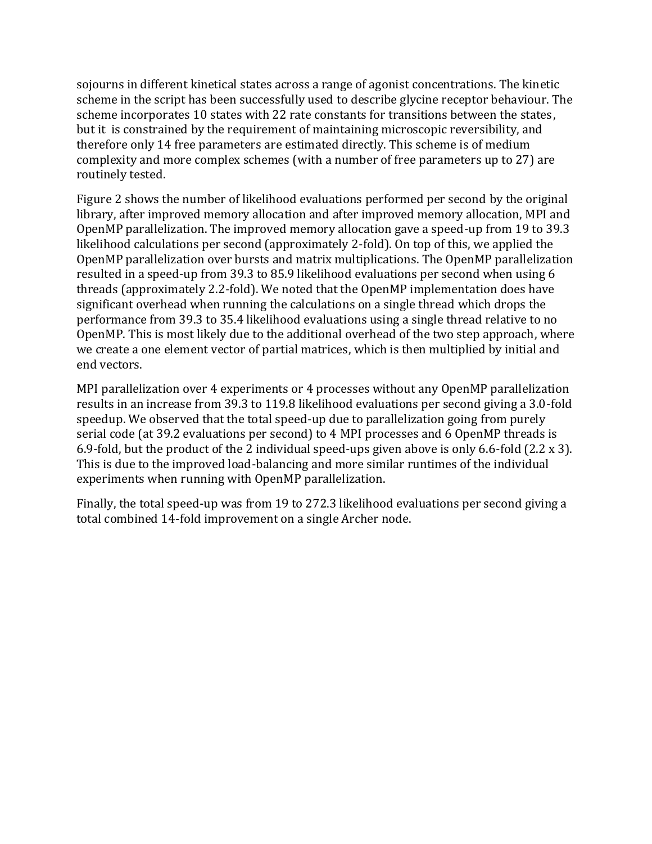sojourns in different kinetical states across a range of agonist concentrations. The kinetic scheme in the script has been successfully used to describe glycine receptor behaviour. The scheme incorporates 10 states with 22 rate constants for transitions between the states, but it is constrained by the requirement of maintaining microscopic reversibility, and therefore only 14 free parameters are estimated directly. This scheme is of medium complexity and more complex schemes (with a number of free parameters up to 27) are routinely tested.

Figure 2 shows the number of likelihood evaluations performed per second by the original library, after improved memory allocation and after improved memory allocation, MPI and OpenMP parallelization. The improved memory allocation gave a speed-up from 19 to 39.3 likelihood calculations per second (approximately 2-fold). On top of this, we applied the OpenMP parallelization over bursts and matrix multiplications. The OpenMP parallelization resulted in a speed-up from 39.3 to 85.9 likelihood evaluations per second when using 6 threads (approximately 2.2-fold). We noted that the OpenMP implementation does have significant overhead when running the calculations on a single thread which drops the performance from 39.3 to 35.4 likelihood evaluations using a single thread relative to no OpenMP. This is most likely due to the additional overhead of the two step approach, where we create a one element vector of partial matrices, which is then multiplied by initial and end vectors.

MPI parallelization over 4 experiments or 4 processes without any OpenMP parallelization results in an increase from 39.3 to 119.8 likelihood evaluations per second giving a 3.0-fold speedup. We observed that the total speed-up due to parallelization going from purely serial code (at 39.2 evaluations per second) to 4 MPI processes and 6 OpenMP threads is 6.9-fold, but the product of the 2 individual speed-ups given above is only 6.6-fold (2.2 x 3). This is due to the improved load-balancing and more similar runtimes of the individual experiments when running with OpenMP parallelization.

Finally, the total speed-up was from 19 to 272.3 likelihood evaluations per second giving a total combined 14-fold improvement on a single Archer node.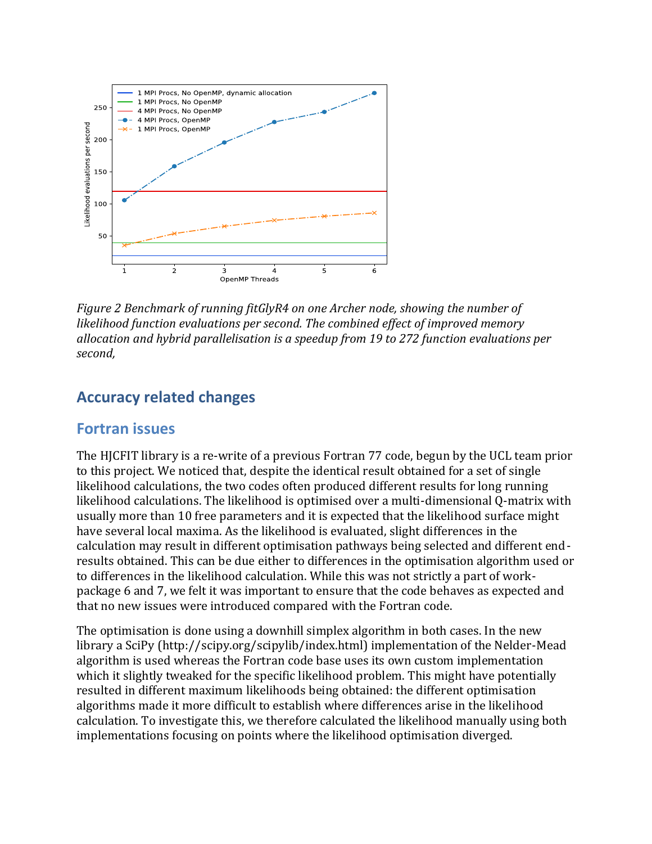

*Figure 2 Benchmark of running fitGlyR4 on one Archer node, showing the number of likelihood function evaluations per second. The combined effect of improved memory allocation and hybrid parallelisation is a speedup from 19 to 272 function evaluations per second,*

### **Accuracy related changes**

#### **Fortran issues**

The HJCFIT library is a re-write of a previous Fortran 77 code, begun by the UCL team prior to this project. We noticed that, despite the identical result obtained for a set of single likelihood calculations, the two codes often produced different results for long running likelihood calculations. The likelihood is optimised over a multi-dimensional Q-matrix with usually more than 10 free parameters and it is expected that the likelihood surface might have several local maxima. As the likelihood is evaluated, slight differences in the calculation may result in different optimisation pathways being selected and different endresults obtained. This can be due either to differences in the optimisation algorithm used or to differences in the likelihood calculation. While this was not strictly a part of workpackage 6 and 7, we felt it was important to ensure that the code behaves as expected and that no new issues were introduced compared with the Fortran code.

The optimisation is done using a downhill simplex algorithm in both cases. In the new library a SciPy (http://scipy.org/scipylib/index.html) implementation of the Nelder-Mead algorithm is used whereas the Fortran code base uses its own custom implementation which it slightly tweaked for the specific likelihood problem. This might have potentially resulted in different maximum likelihoods being obtained: the different optimisation algorithms made it more difficult to establish where differences arise in the likelihood calculation. To investigate this, we therefore calculated the likelihood manually using both implementations focusing on points where the likelihood optimisation diverged.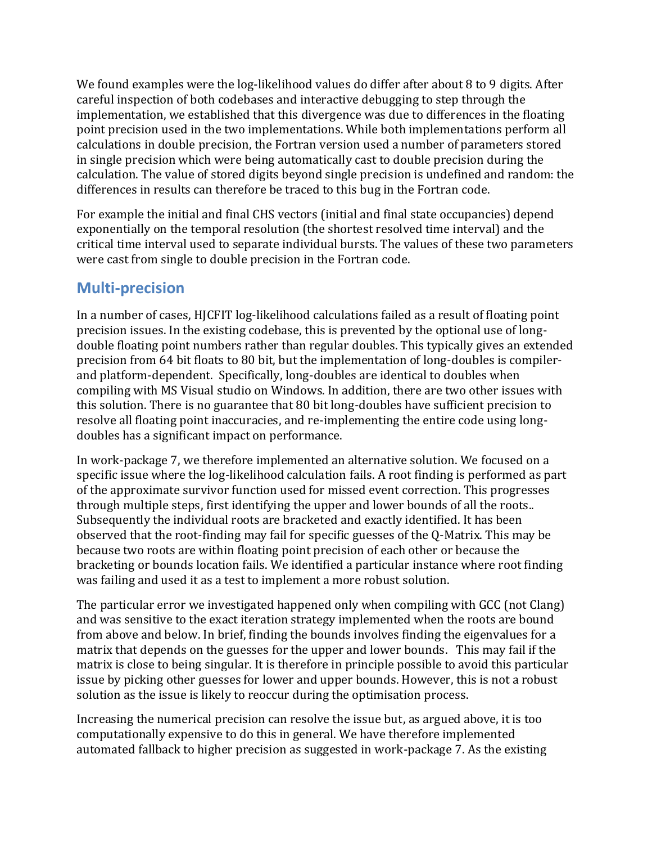We found examples were the log-likelihood values do differ after about 8 to 9 digits. After careful inspection of both codebases and interactive debugging to step through the implementation, we established that this divergence was due to differences in the floating point precision used in the two implementations. While both implementations perform all calculations in double precision, the Fortran version used a number of parameters stored in single precision which were being automatically cast to double precision during the calculation. The value of stored digits beyond single precision is undefined and random: the differences in results can therefore be traced to this bug in the Fortran code.

For example the initial and final CHS vectors (initial and final state occupancies) depend exponentially on the temporal resolution (the shortest resolved time interval) and the critical time interval used to separate individual bursts. The values of these two parameters were cast from single to double precision in the Fortran code.

### **Multi-precision**

In a number of cases, HJCFIT log-likelihood calculations failed as a result of floating point precision issues. In the existing codebase, this is prevented by the optional use of longdouble floating point numbers rather than regular doubles. This typically gives an extended precision from 64 bit floats to 80 bit, but the implementation of long-doubles is compilerand platform-dependent. Specifically, long-doubles are identical to doubles when compiling with MS Visual studio on Windows. In addition, there are two other issues with this solution. There is no guarantee that 80 bit long-doubles have sufficient precision to resolve all floating point inaccuracies, and re-implementing the entire code using longdoubles has a significant impact on performance.

In work-package 7, we therefore implemented an alternative solution. We focused on a specific issue where the log-likelihood calculation fails. A root finding is performed as part of the approximate survivor function used for missed event correction. This progresses through multiple steps, first identifying the upper and lower bounds of all the roots.. Subsequently the individual roots are bracketed and exactly identified. It has been observed that the root-finding may fail for specific guesses of the Q-Matrix. This may be because two roots are within floating point precision of each other or because the bracketing or bounds location fails. We identified a particular instance where root finding was failing and used it as a test to implement a more robust solution.

The particular error we investigated happened only when compiling with GCC (not Clang) and was sensitive to the exact iteration strategy implemented when the roots are bound from above and below. In brief, finding the bounds involves finding the eigenvalues for a matrix that depends on the guesses for the upper and lower bounds. This may fail if the matrix is close to being singular. It is therefore in principle possible to avoid this particular issue by picking other guesses for lower and upper bounds. However, this is not a robust solution as the issue is likely to reoccur during the optimisation process.

Increasing the numerical precision can resolve the issue but, as argued above, it is too computationally expensive to do this in general. We have therefore implemented automated fallback to higher precision as suggested in work-package 7. As the existing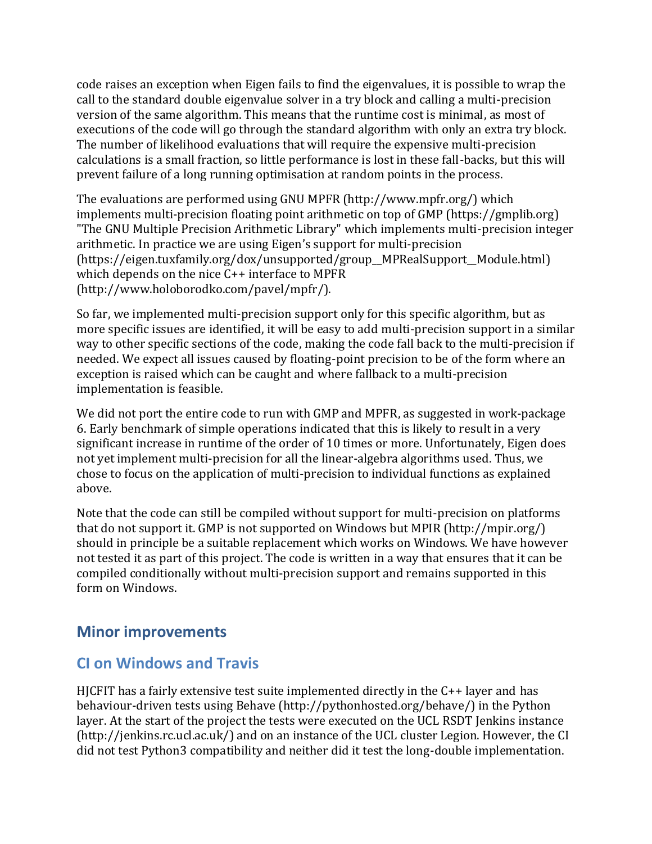code raises an exception when Eigen fails to find the eigenvalues, it is possible to wrap the call to the standard double eigenvalue solver in a try block and calling a multi-precision version of the same algorithm. This means that the runtime cost is minimal, as most of executions of the code will go through the standard algorithm with only an extra try block. The number of likelihood evaluations that will require the expensive multi-precision calculations is a small fraction, so little performance is lost in these fall-backs, but this will prevent failure of a long running optimisation at random points in the process.

The evaluations are performed using GNU MPFR (http://www.mpfr.org/) which implements multi-precision floating point arithmetic on top of GMP (https://gmplib.org) "The GNU Multiple Precision Arithmetic Library" which implements multi-precision integer arithmetic. In practice we are using Eigen's support for multi-precision (https://eigen.tuxfamily.org/dox/unsupported/group\_\_MPRealSupport\_\_Module.html) which depends on the nice C++ interface to MPFR (http://www.holoborodko.com/pavel/mpfr/).

So far, we implemented multi-precision support only for this specific algorithm, but as more specific issues are identified, it will be easy to add multi-precision support in a similar way to other specific sections of the code, making the code fall back to the multi-precision if needed. We expect all issues caused by floating-point precision to be of the form where an exception is raised which can be caught and where fallback to a multi-precision implementation is feasible.

We did not port the entire code to run with GMP and MPFR, as suggested in work-package 6. Early benchmark of simple operations indicated that this is likely to result in a very significant increase in runtime of the order of 10 times or more. Unfortunately, Eigen does not yet implement multi-precision for all the linear-algebra algorithms used. Thus, we chose to focus on the application of multi-precision to individual functions as explained above.

Note that the code can still be compiled without support for multi-precision on platforms that do not support it. GMP is not supported on Windows but MPIR (http://mpir.org/) should in principle be a suitable replacement which works on Windows. We have however not tested it as part of this project. The code is written in a way that ensures that it can be compiled conditionally without multi-precision support and remains supported in this form on Windows.

### **Minor improvements**

## **CI on Windows and Travis**

HJCFIT has a fairly extensive test suite implemented directly in the C++ layer and has behaviour-driven tests using Behave (http://pythonhosted.org/behave/) in the Python layer. At the start of the project the tests were executed on the UCL RSDT Jenkins instance (http://jenkins.rc.ucl.ac.uk/) and on an instance of the UCL cluster Legion. However, the CI did not test Python3 compatibility and neither did it test the long-double implementation.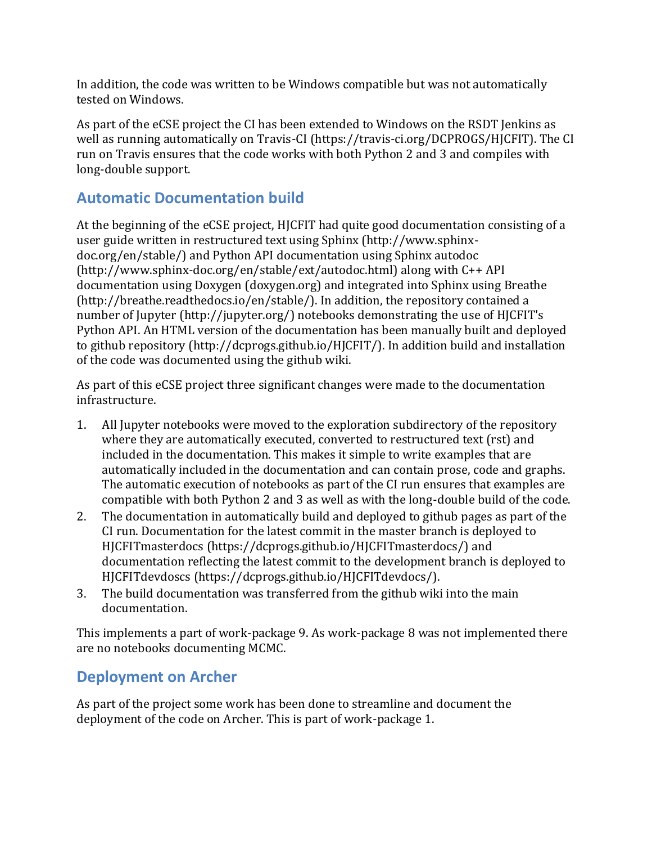In addition, the code was written to be Windows compatible but was not automatically tested on Windows.

As part of the eCSE project the CI has been extended to Windows on the RSDT Jenkins as well as running automatically on Travis-CI (https://travis-ci.org/DCPROGS/HJCFIT). The CI run on Travis ensures that the code works with both Python 2 and 3 and compiles with long-double support.

## **Automatic Documentation build**

At the beginning of the eCSE project, HJCFIT had quite good documentation consisting of a user guide written in restructured text using Sphinx (http://www.sphinxdoc.org/en/stable/) and Python API documentation using Sphinx autodoc (http://www.sphinx-doc.org/en/stable/ext/autodoc.html) along with C++ API documentation using Doxygen (doxygen.org) and integrated into Sphinx using Breathe (http://breathe.readthedocs.io/en/stable/). In addition, the repository contained a number of Jupyter (http://jupyter.org/) notebooks demonstrating the use of HJCFIT's Python API. An HTML version of the documentation has been manually built and deployed to github repository (http://dcprogs.github.io/HJCFIT/). In addition build and installation of the code was documented using the github wiki.

As part of this eCSE project three significant changes were made to the documentation infrastructure.

- 1. All Jupyter notebooks were moved to the exploration subdirectory of the repository where they are automatically executed, converted to restructured text (rst) and included in the documentation. This makes it simple to write examples that are automatically included in the documentation and can contain prose, code and graphs. The automatic execution of notebooks as part of the CI run ensures that examples are compatible with both Python 2 and 3 as well as with the long-double build of the code.
- 2. The documentation in automatically build and deployed to github pages as part of the CI run. Documentation for the latest commit in the master branch is deployed to HJCFITmasterdocs (https://dcprogs.github.io/HJCFITmasterdocs/) and documentation reflecting the latest commit to the development branch is deployed to HJCFITdevdoscs (https://dcprogs.github.io/HJCFITdevdocs/).
- 3. The build documentation was transferred from the github wiki into the main documentation.

This implements a part of work-package 9. As work-package 8 was not implemented there are no notebooks documenting MCMC.

### **Deployment on Archer**

As part of the project some work has been done to streamline and document the deployment of the code on Archer. This is part of work-package 1.